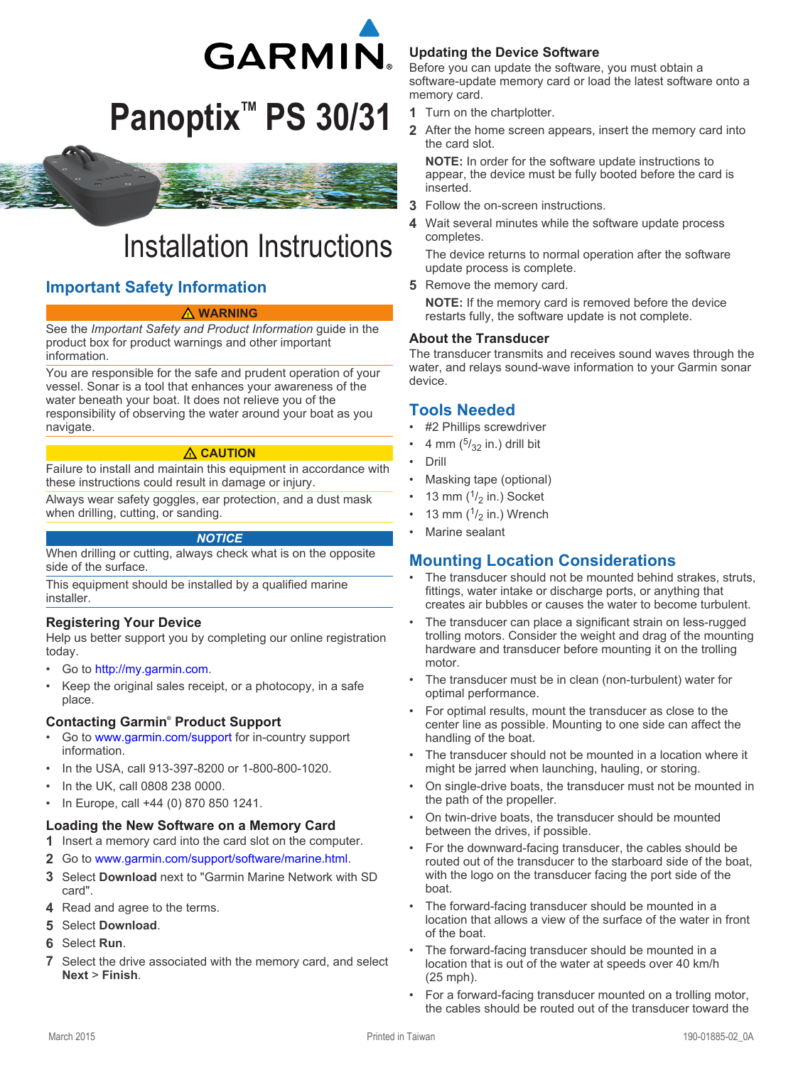

# **Panoptix™ PS 30/31**



# Installation Instructions

# **Important Safety Information**

#### **WARNING**

See the *Important Safety and Product Information* guide in the product box for product warnings and other important information.

You are responsible for the safe and prudent operation of your vessel. Sonar is a tool that enhances your awareness of the water beneath your boat. It does not relieve you of the responsibility of observing the water around your boat as you navigate.

#### **CAUTION**

Failure to install and maintain this equipment in accordance with these instructions could result in damage or injury.

Always wear safety goggles, ear protection, and a dust mask when drilling, cutting, or sanding.

#### *NOTICE*

When drilling or cutting, always check what is on the opposite side of the surface.

This equipment should be installed by a qualified marine installer.

#### **Registering Your Device**

Help us better support you by completing our online registration today.

- Go to [http://my.garmin.com.](http://my.garmin.com)
- Keep the original sales receipt, or a photocopy, in a safe place.

#### **Contacting Garmin® Product Support**

- Go to [www.garmin.com/support](http://www.garmin.com/support) for in-country support information.
- In the USA, call 913-397-8200 or 1-800-800-1020.
- In the UK, call 0808 238 0000.
- In Europe, call +44 (0) 870 850 1241.

#### **Loading the New Software on a Memory Card**

- **1** Insert a memory card into the card slot on the computer.
- **2** Go to [www.garmin.com/support/software/marine.html](http://www.garmin.com/support/software/marine.html).
- **3** Select **Download** next to "Garmin Marine Network with SD card".
- **4** Read and agree to the terms.
- **5** Select **Download**.
- **6** Select **Run**.
- **7** Select the drive associated with the memory card, and select **Next** > **Finish**.

#### **Updating the Device Software**

Before you can update the software, you must obtain a software-update memory card or load the latest software onto a memory card.

- **1** Turn on the chartplotter.
- **2** After the home screen appears, insert the memory card into the card slot.

**NOTE:** In order for the software update instructions to appear, the device must be fully booted before the card is inserted.

- **3** Follow the on-screen instructions.
- **4** Wait several minutes while the software update process completes.

The device returns to normal operation after the software update process is complete.

**5** Remove the memory card.

**NOTE:** If the memory card is removed before the device restarts fully, the software update is not complete.

#### **About the Transducer**

The transducer transmits and receives sound waves through the water, and relays sound-wave information to your Garmin sonar device.

### **Tools Needed**

- #2 Phillips screwdriver
- 4 mm  $\left(\frac{5}{32} \text{ in.}\right)$  drill bit
- Drill
- Masking tape (optional)
- 13 mm  $(1/2 \text{ in.})$  Socket
- 13 mm  $(1/2)$  in.) Wrench
- Marine sealant

#### **Mounting Location Considerations**

- The transducer should not be mounted behind strakes, struts, fittings, water intake or discharge ports, or anything that creates air bubbles or causes the water to become turbulent.
- The transducer can place a significant strain on less-rugged trolling motors. Consider the weight and drag of the mounting hardware and transducer before mounting it on the trolling motor.
- The transducer must be in clean (non-turbulent) water for optimal performance.
- For optimal results, mount the transducer as close to the center line as possible. Mounting to one side can affect the handling of the boat.
- The transducer should not be mounted in a location where it might be jarred when launching, hauling, or storing.
- On single-drive boats, the transducer must not be mounted in the path of the propeller.
- On twin-drive boats, the transducer should be mounted between the drives, if possible.
- For the downward-facing transducer, the cables should be routed out of the transducer to the starboard side of the boat, with the logo on the transducer facing the port side of the boat.
- The forward-facing transducer should be mounted in a location that allows a view of the surface of the water in front of the boat.
- The forward-facing transducer should be mounted in a location that is out of the water at speeds over 40 km/h (25 mph).
- For a forward-facing transducer mounted on a trolling motor, the cables should be routed out of the transducer toward the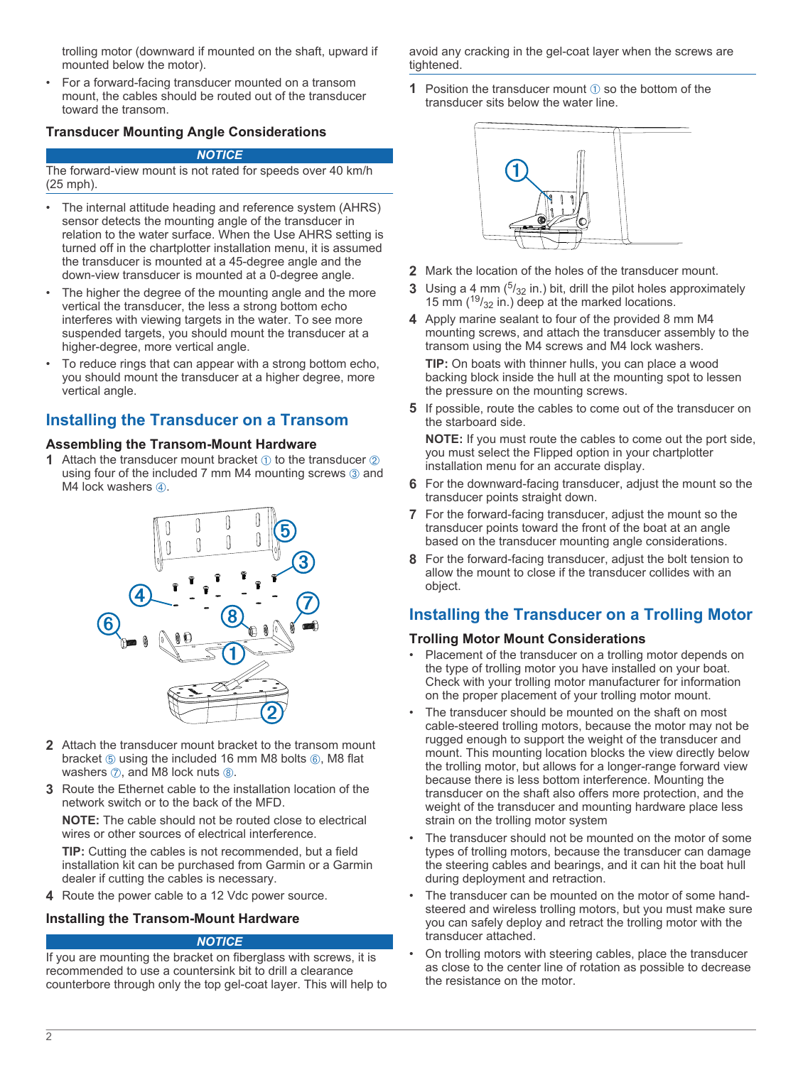trolling motor (downward if mounted on the shaft, upward if mounted below the motor).

• For a forward-facing transducer mounted on a transom mount, the cables should be routed out of the transducer toward the transom.

#### **Transducer Mounting Angle Considerations**

#### *NOTICE*

The forward-view mount is not rated for speeds over 40 km/h (25 mph).

- The internal attitude heading and reference system (AHRS) sensor detects the mounting angle of the transducer in relation to the water surface. When the Use AHRS setting is turned off in the chartplotter installation menu, it is assumed the transducer is mounted at a 45-degree angle and the down-view transducer is mounted at a 0-degree angle.
- The higher the degree of the mounting angle and the more vertical the transducer, the less a strong bottom echo interferes with viewing targets in the water. To see more suspended targets, you should mount the transducer at a higher-degree, more vertical angle.
- To reduce rings that can appear with a strong bottom echo, you should mount the transducer at a higher degree, more vertical angle.

## **Installing the Transducer on a Transom**

#### **Assembling the Transom-Mount Hardware**

**1** Attach the transducer mount bracket  $\theta$  to the transducer  $\phi$ using four of the included 7 mm M4 mounting screws 3 and M4 lock washers  $\phi$ .



- **2** Attach the transducer mount bracket to the transom mount bracket  $\circled{s}$  using the included 16 mm M8 bolts  $\circled{s}$ , M8 flat washers  $\oslash$ , and M8 lock nuts  $\circledR$ .
- **3** Route the Ethernet cable to the installation location of the network switch or to the back of the MFD.

**NOTE:** The cable should not be routed close to electrical wires or other sources of electrical interference.

**TIP:** Cutting the cables is not recommended, but a field installation kit can be purchased from Garmin or a Garmin dealer if cutting the cables is necessary.

**4** Route the power cable to a 12 Vdc power source.

#### **Installing the Transom-Mount Hardware**

#### *NOTICE*

If you are mounting the bracket on fiberglass with screws, it is recommended to use a countersink bit to drill a clearance counterbore through only the top gel-coat layer. This will help to avoid any cracking in the gel-coat layer when the screws are tightened.

**1** Position the transducer mount  $\theta$  so the bottom of the transducer sits below the water line.



- **2** Mark the location of the holes of the transducer mount.
- **3** Using a  $4 \text{ mm}$  ( $\frac{5}{32}$  in.) bit, drill the pilot holes approximately 15 mm  $(^{19}/_{32}$  in.) deep at the marked locations.
- **4** Apply marine sealant to four of the provided 8 mm M4 mounting screws, and attach the transducer assembly to the transom using the M4 screws and M4 lock washers.

**TIP:** On boats with thinner hulls, you can place a wood backing block inside the hull at the mounting spot to lessen the pressure on the mounting screws.

**5** If possible, route the cables to come out of the transducer on the starboard side.

**NOTE:** If you must route the cables to come out the port side, you must select the Flipped option in your chartplotter installation menu for an accurate display.

- **6** For the downward-facing transducer, adjust the mount so the transducer points straight down.
- **7** For the forward-facing transducer, adjust the mount so the transducer points toward the front of the boat at an angle based on the transducer mounting angle considerations.
- **8** For the forward-facing transducer, adjust the bolt tension to allow the mount to close if the transducer collides with an object.

# **Installing the Transducer on a Trolling Motor**

#### **Trolling Motor Mount Considerations**

- Placement of the transducer on a trolling motor depends on the type of trolling motor you have installed on your boat. Check with your trolling motor manufacturer for information on the proper placement of your trolling motor mount.
- The transducer should be mounted on the shaft on most cable-steered trolling motors, because the motor may not be rugged enough to support the weight of the transducer and mount. This mounting location blocks the view directly below the trolling motor, but allows for a longer-range forward view because there is less bottom interference. Mounting the transducer on the shaft also offers more protection, and the weight of the transducer and mounting hardware place less strain on the trolling motor system
- The transducer should not be mounted on the motor of some types of trolling motors, because the transducer can damage the steering cables and bearings, and it can hit the boat hull during deployment and retraction.
- The transducer can be mounted on the motor of some handsteered and wireless trolling motors, but you must make sure you can safely deploy and retract the trolling motor with the transducer attached.
- On trolling motors with steering cables, place the transducer as close to the center line of rotation as possible to decrease the resistance on the motor.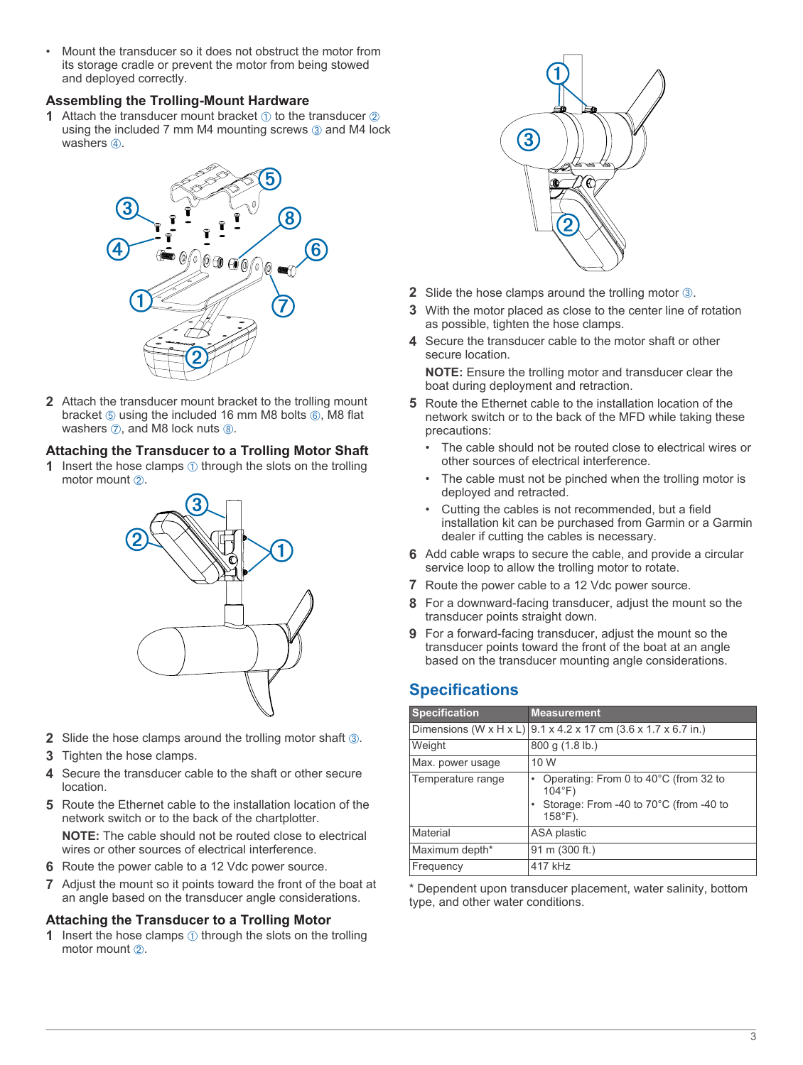• Mount the transducer so it does not obstruct the motor from its storage cradle or prevent the motor from being stowed and deployed correctly.

#### **Assembling the Trolling-Mount Hardware**

**1** Attach the transducer mount bracket  $\theta$  to the transducer  $\phi$ using the included  $7 \text{ mm}$  M4 mounting screws  $\textcircled{3}$  and M4 lock washers 4.



**2** Attach the transducer mount bracket to the trolling mount bracket  $\circled{s}$  using the included 16 mm M8 bolts  $\circled{s}$ , M8 flat washers  $\oslash$ , and M8 lock nuts  $\oslash$ .

#### **Attaching the Transducer to a Trolling Motor Shaft**

**1** Insert the hose clamps  $\circled{1}$  through the slots on the trolling motor mount  $(2)$ .



- **2** Slide the hose clamps around the trolling motor shaft **3**.
- **3** Tighten the hose clamps.
- **4** Secure the transducer cable to the shaft or other secure location.
- **5** Route the Ethernet cable to the installation location of the network switch or to the back of the chartplotter.

**NOTE:** The cable should not be routed close to electrical wires or other sources of electrical interference.

- **6** Route the power cable to a 12 Vdc power source.
- **7** Adjust the mount so it points toward the front of the boat at an angle based on the transducer angle considerations.

#### **Attaching the Transducer to a Trolling Motor**

**1** Insert the hose clamps  $\oplus$  through the slots on the trolling motor mount  $(2)$ .



- **2** Slide the hose clamps around the trolling motor **<b>3**.
- **3** With the motor placed as close to the center line of rotation as possible, tighten the hose clamps.
- **4** Secure the transducer cable to the motor shaft or other secure location.

**NOTE:** Ensure the trolling motor and transducer clear the boat during deployment and retraction.

- **5** Route the Ethernet cable to the installation location of the network switch or to the back of the MFD while taking these precautions:
	- The cable should not be routed close to electrical wires or other sources of electrical interference.
	- The cable must not be pinched when the trolling motor is deployed and retracted.
	- Cutting the cables is not recommended, but a field installation kit can be purchased from Garmin or a Garmin dealer if cutting the cables is necessary.
- **6** Add cable wraps to secure the cable, and provide a circular service loop to allow the trolling motor to rotate.
- **7** Route the power cable to a 12 Vdc power source.
- **8** For a downward-facing transducer, adjust the mount so the transducer points straight down.
- **9** For a forward-facing transducer, adjust the mount so the transducer points toward the front of the boat at an angle based on the transducer mounting angle considerations.

# **Specifications**

| <b>Specification</b> | <b>Measurement</b>                                                                                                                  |
|----------------------|-------------------------------------------------------------------------------------------------------------------------------------|
|                      | Dimensions (W x H x L) $ 9.1 \times 4.2 \times 17$ cm (3.6 x 1.7 x 6.7 in.)                                                         |
| Weight               | 800 g (1.8 lb.)                                                                                                                     |
| Max. power usage     | 10 W                                                                                                                                |
| Temperature range    | Operating: From 0 to 40°C (from 32 to<br>$\bullet$<br>$104^{\circ}F$<br>Storage: From -40 to 70°C (from -40 to<br>$158^{\circ}$ F). |
| Material             | ASA plastic                                                                                                                         |
| Maximum depth*       | 91 m (300 ft.)                                                                                                                      |
| Frequency            | 417 kHz                                                                                                                             |

\* Dependent upon transducer placement, water salinity, bottom type, and other water conditions.